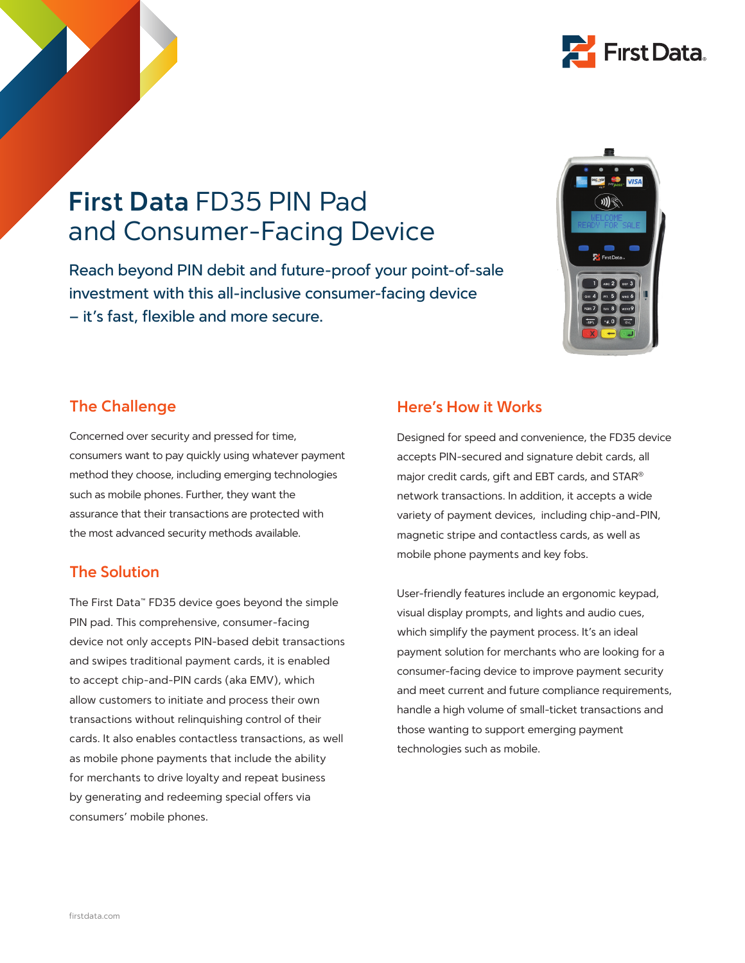

## **First Data** FD35 PIN Pad and Consumer-Facing Device

Reach beyond PIN debit and future-proof your point-of-sale investment with this all-inclusive consumer-facing device – it's fast, flexible and more secure.



## **The Challenge**

Concerned over security and pressed for time, consumers want to pay quickly using whatever payment method they choose, including emerging technologies such as mobile phones. Further, they want the assurance that their transactions are protected with the most advanced security methods available.

#### **The Solution**

The First Data™ FD35 device goes beyond the simple PIN pad. This comprehensive, consumer-facing device not only accepts PIN-based debit transactions and swipes traditional payment cards, it is enabled to accept chip-and-PIN cards (aka EMV), which allow customers to initiate and process their own transactions without relinquishing control of their cards. It also enables contactless transactions, as well as mobile phone payments that include the ability for merchants to drive loyalty and repeat business by generating and redeeming special offers via consumers' mobile phones.

#### **Here's How it Works**

Designed for speed and convenience, the FD35 device accepts PIN-secured and signature debit cards, all major credit cards, gift and EBT cards, and STAR® network transactions. In addition, it accepts a wide variety of payment devices, including chip-and-PIN, magnetic stripe and contactless cards, as well as mobile phone payments and key fobs.

User-friendly features include an ergonomic keypad, visual display prompts, and lights and audio cues, which simplify the payment process. It's an ideal payment solution for merchants who are looking for a consumer-facing device to improve payment security and meet current and future compliance requirements, handle a high volume of small-ticket transactions and those wanting to support emerging payment technologies such as mobile.